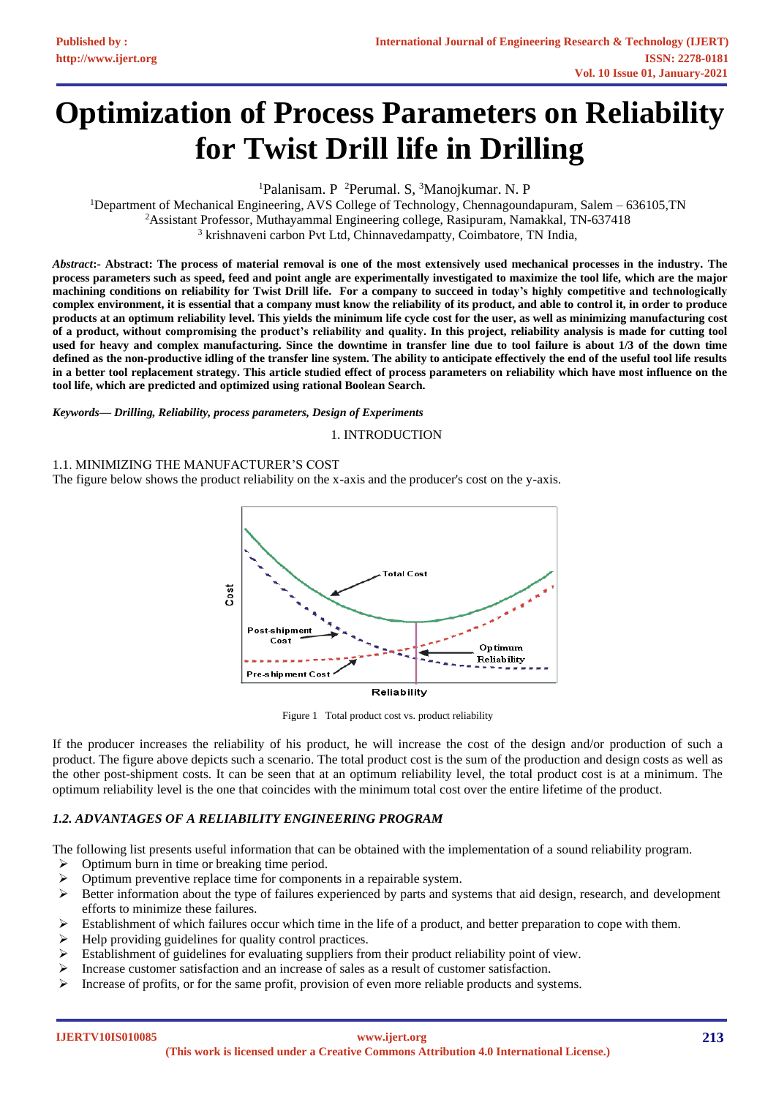# **Optimization of Process Parameters on Reliability for Twist Drill life in Drilling**

<sup>1</sup>Palanisam. P<sup>2</sup>Perumal. S, <sup>3</sup>Manojkumar. N. P

<sup>1</sup>Department of Mechanical Engineering, AVS College of Technology, Chennagoundapuram, Salem – 636105, TN <sup>2</sup>Assistant Professor, Muthayammal Engineering college, Rasipuram, Namakkal, TN-637418 <sup>3</sup> krishnaveni carbon Pvt Ltd, Chinnavedampatty, Coimbatore, TN India,

*Abstract***:- Abstract: The process of material removal is one of the most extensively used mechanical processes in the industry. The process parameters such as speed, feed and point angle are experimentally investigated to maximize the tool life, which are the major machining conditions on reliability for Twist Drill life. For a company to succeed in today's highly competitive and technologically complex environment, it is essential that a company must know the reliability of its product, and able to control it, in order to produce products at an optimum reliability level. This yields the minimum life cycle cost for the user, as well as minimizing manufacturing cost of a product, without compromising the product's reliability and quality. In this project, reliability analysis is made for cutting tool used for heavy and complex manufacturing. Since the downtime in transfer line due to tool failure is about 1/3 of the down time defined as the non-productive idling of the transfer line system. The ability to anticipate effectively the end of the useful tool life results in a better tool replacement strategy. This article studied effect of process parameters on reliability which have most influence on the tool life, which are predicted and optimized using rational Boolean Search.**

*Keywords— Drilling, Reliability, process parameters, Design of Experiments*

1. INTRODUCTION

# 1.1. MINIMIZING THE MANUFACTURER'S COST

The figure below shows the product reliability on the x-axis and the producer's cost on the y-axis.



Figure 1 Total product cost vs. product reliability

If the producer increases the reliability of his product, he will increase the cost of the design and/or production of such a product. The figure above depicts such a scenario. The total product cost is the sum of the production and design costs as well as the other post-shipment costs. It can be seen that at an optimum reliability level, the total product cost is at a minimum. The optimum reliability level is the one that coincides with the minimum total cost over the entire lifetime of the product.

# *1.2. ADVANTAGES OF A RELIABILITY ENGINEERING PROGRAM*

The following list presents useful information that can be obtained with the implementation of a sound reliability program.

- $\triangleright$  Optimum burn in time or breaking time period.
- ➢ Optimum preventive replace time for components in a repairable system.
- ➢ Better information about the type of failures experienced by parts and systems that aid design, research, and development efforts to minimize these failures.
- $\triangleright$  Establishment of which failures occur which time in the life of a product, and better preparation to cope with them.
- ➢ Help providing guidelines for quality control practices.
- $\triangleright$  Establishment of guidelines for evaluating suppliers from their product reliability point of view.
- $\triangleright$  Increase customer satisfaction and an increase of sales as a result of customer satisfaction.
- $\triangleright$  Increase of profits, or for the same profit, provision of even more reliable products and systems.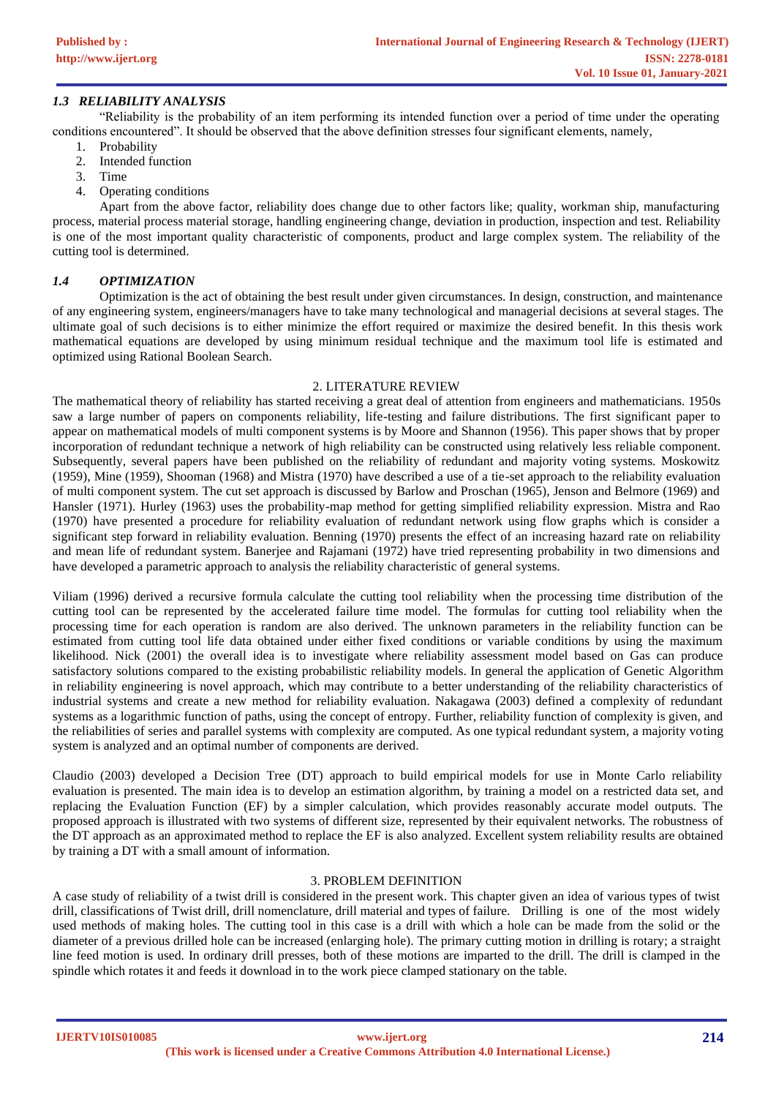# *1.3 RELIABILITY ANALYSIS*

"Reliability is the probability of an item performing its intended function over a period of time under the operating conditions encountered". It should be observed that the above definition stresses four significant elements, namely,

- 1. Probability
- 2. Intended function
- 3. Time
- 4. Operating conditions

Apart from the above factor, reliability does change due to other factors like; quality, workman ship, manufacturing process, material process material storage, handling engineering change, deviation in production, inspection and test. Reliability is one of the most important quality characteristic of components, product and large complex system. The reliability of the cutting tool is determined.

# *1.4 OPTIMIZATION*

Optimization is the act of obtaining the best result under given circumstances. In design, construction, and maintenance of any engineering system, engineers/managers have to take many technological and managerial decisions at several stages. The ultimate goal of such decisions is to either minimize the effort required or maximize the desired benefit. In this thesis work mathematical equations are developed by using minimum residual technique and the maximum tool life is estimated and optimized using Rational Boolean Search.

# 2. LITERATURE REVIEW

The mathematical theory of reliability has started receiving a great deal of attention from engineers and mathematicians. 1950s saw a large number of papers on components reliability, life-testing and failure distributions. The first significant paper to appear on mathematical models of multi component systems is by Moore and Shannon (1956). This paper shows that by proper incorporation of redundant technique a network of high reliability can be constructed using relatively less reliable component. Subsequently, several papers have been published on the reliability of redundant and majority voting systems. Moskowitz (1959), Mine (1959), Shooman (1968) and Mistra (1970) have described a use of a tie-set approach to the reliability evaluation of multi component system. The cut set approach is discussed by Barlow and Proschan (1965), Jenson and Belmore (1969) and Hansler (1971). Hurley (1963) uses the probability-map method for getting simplified reliability expression. Mistra and Rao (1970) have presented a procedure for reliability evaluation of redundant network using flow graphs which is consider a significant step forward in reliability evaluation. Benning (1970) presents the effect of an increasing hazard rate on reliability and mean life of redundant system. Banerjee and Rajamani (1972) have tried representing probability in two dimensions and have developed a parametric approach to analysis the reliability characteristic of general systems.

Viliam (1996) derived a recursive formula calculate the cutting tool reliability when the processing time distribution of the cutting tool can be represented by the accelerated failure time model. The formulas for cutting tool reliability when the processing time for each operation is random are also derived. The unknown parameters in the reliability function can be estimated from cutting tool life data obtained under either fixed conditions or variable conditions by using the maximum likelihood. Nick (2001) the overall idea is to investigate where reliability assessment model based on Gas can produce satisfactory solutions compared to the existing probabilistic reliability models. In general the application of Genetic Algorithm in reliability engineering is novel approach, which may contribute to a better understanding of the reliability characteristics of industrial systems and create a new method for reliability evaluation. Nakagawa (2003) defined a complexity of redundant systems as a logarithmic function of paths, using the concept of entropy. Further, reliability function of complexity is given, and the reliabilities of series and parallel systems with complexity are computed. As one typical redundant system, a majority voting system is analyzed and an optimal number of components are derived.

Claudio (2003) developed a Decision Tree (DT) approach to build empirical models for use in Monte Carlo reliability evaluation is presented. The main idea is to develop an estimation algorithm, by training a model on a restricted data set, and replacing the Evaluation Function (EF) by a simpler calculation, which provides reasonably accurate model outputs. The proposed approach is illustrated with two systems of different size, represented by their equivalent networks. The robustness of the DT approach as an approximated method to replace the EF is also analyzed. Excellent system reliability results are obtained by training a DT with a small amount of information.

#### 3. PROBLEM DEFINITION

A case study of reliability of a twist drill is considered in the present work. This chapter given an idea of various types of twist drill, classifications of Twist drill, drill nomenclature, drill material and types of failure. Drilling is one of the most widely used methods of making holes. The cutting tool in this case is a drill with which a hole can be made from the solid or the diameter of a previous drilled hole can be increased (enlarging hole). The primary cutting motion in drilling is rotary; a straight line feed motion is used. In ordinary drill presses, both of these motions are imparted to the drill. The drill is clamped in the spindle which rotates it and feeds it download in to the work piece clamped stationary on the table.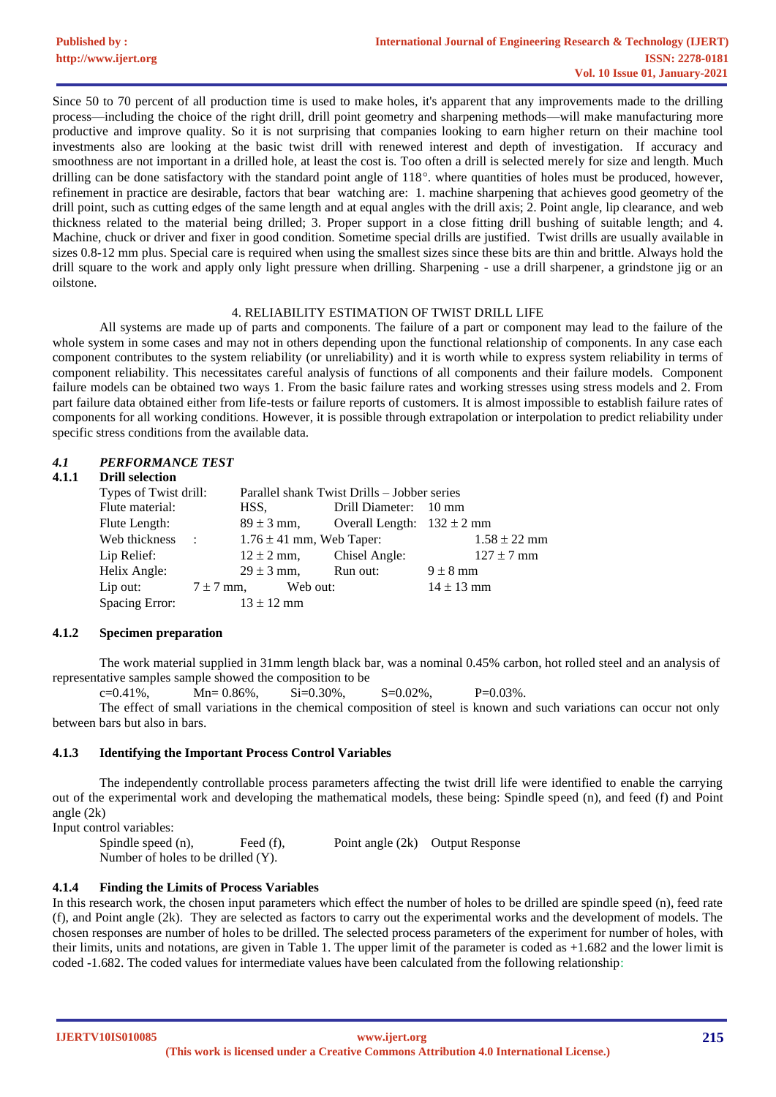Since 50 to 70 percent of all production time is used to make holes, it's apparent that any improvements made to the drilling process—including the choice of the right drill, drill point geometry and sharpening methods—will make manufacturing more productive and improve quality. So it is not surprising that companies looking to earn higher return on their machine tool investments also are looking at the basic twist drill with renewed interest and depth of investigation. If accuracy and smoothness are not important in a drilled hole, at least the cost is. Too often a drill is selected merely for size and length. Much drilling can be done satisfactory with the standard point angle of  $118^\circ$ . where quantities of holes must be produced, however, refinement in practice are desirable, factors that bear watching are: 1. machine sharpening that achieves good geometry of the drill point, such as cutting edges of the same length and at equal angles with the drill axis; 2. Point angle, lip clearance, and web thickness related to the material being drilled; 3. Proper support in a close fitting drill bushing of suitable length; and 4. Machine, chuck or driver and fixer in good condition. Sometime special drills are justified. Twist drills are usually available in sizes 0.8-12 mm plus. Special care is required when using the smallest sizes since these bits are thin and brittle. Always hold the drill square to the work and apply only light pressure when drilling. Sharpening - use a drill sharpener, a grindstone jig or an oilstone.

# 4. RELIABILITY ESTIMATION OF TWIST DRILL LIFE

All systems are made up of parts and components. The failure of a part or component may lead to the failure of the whole system in some cases and may not in others depending upon the functional relationship of components. In any case each component contributes to the system reliability (or unreliability) and it is worth while to express system reliability in terms of component reliability. This necessitates careful analysis of functions of all components and their failure models. Component failure models can be obtained two ways 1. From the basic failure rates and working stresses using stress models and 2. From part failure data obtained either from life-tests or failure reports of customers. It is almost impossible to establish failure rates of components for all working conditions. However, it is possible through extrapolation or interpolation to predict reliability under specific stress conditions from the available data.

# *4.1 PERFORMANCE TEST*

#### **4.1.1 Drill selection**

| Types of Twist drill: |               | Parallel shank Twist Drills – Jobber series |          |                                               |                |                  |
|-----------------------|---------------|---------------------------------------------|----------|-----------------------------------------------|----------------|------------------|
| Flute material:       |               | HSS.                                        |          | Drill Diameter: 10 mm                         |                |                  |
| Flute Length:         |               |                                             |          | $89 \pm 3$ mm, Overall Length: $132 \pm 2$ mm |                |                  |
| Web thickness :       |               | $1.76 \pm 41$ mm, Web Taper:                |          |                                               |                | $1.58 \pm 22$ mm |
| Lip Relief:           |               | $12 \pm 2$ mm,                              |          | Chisel Angle:                                 |                | $127 \pm 7$ mm   |
| Helix Angle:          |               | $29 \pm 3$ mm,                              |          | Run out:                                      | $9 \pm 8$ mm   |                  |
| Lip out:              | $7 \pm 7$ mm, |                                             | Web out: |                                               | $14 \pm 13$ mm |                  |
| Spacing Error:        |               | $13 \pm 12$ mm                              |          |                                               |                |                  |
|                       |               |                                             |          |                                               |                |                  |

# **4.1.2 Specimen preparation**

The work material supplied in 31mm length black bar, was a nominal 0.45% carbon, hot rolled steel and an analysis of representative samples sample showed the composition to be

 $c=0.41\%$ ,  $Mn= 0.86\%$ ,  $Si=0.30\%$ ,  $S=0.02\%$ ,  $P=0.03\%$ ,

The effect of small variations in the chemical composition of steel is known and such variations can occur not only between bars but also in bars.

#### **4.1.3 Identifying the Important Process Control Variables**

The independently controllable process parameters affecting the twist drill life were identified to enable the carrying out of the experimental work and developing the mathematical models, these being: Spindle speed (n), and feed (f) and Point angle (2k)

Input control variables:

Spindle speed (n), Feed (f), Point angle (2k) Output Response Number of holes to be drilled (Y).

# **4.1.4 Finding the Limits of Process Variables**

In this research work, the chosen input parameters which effect the number of holes to be drilled are spindle speed (n), feed rate (f), and Point angle (2k). They are selected as factors to carry out the experimental works and the development of models. The chosen responses are number of holes to be drilled. The selected process parameters of the experiment for number of holes, with their limits, units and notations, are given in Table 1. The upper limit of the parameter is coded as +1.682 and the lower limit is coded -1.682. The coded values for intermediate values have been calculated from the following relationship:

**IJERTV10IS010085**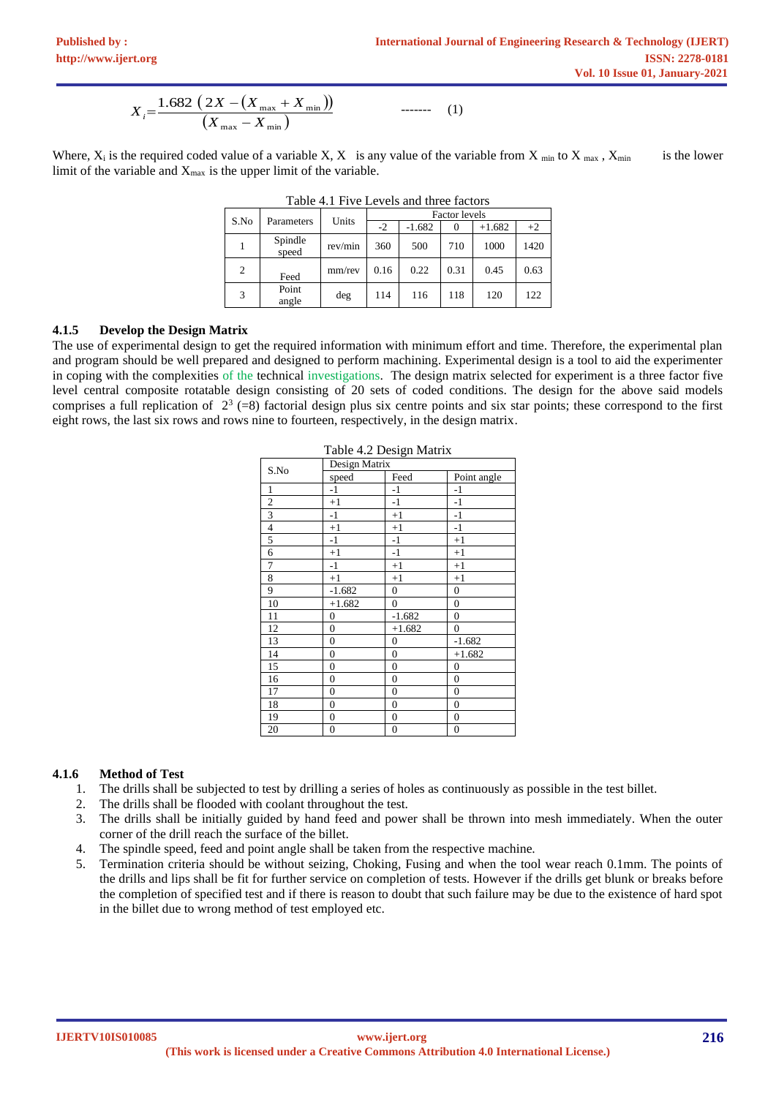$$
X_i = \frac{1.682 \left(2X - \left(X_{\text{max}} + X_{\text{min}}\right)\right)}{\left(X_{\text{max}} - X_{\text{min}}\right)}
$$
 (1)

Where,  $X_i$  is the required coded value of a variable X, X is any value of the variable from X <sub>min</sub> to X <sub>max</sub>, X<sub>min</sub> is the lower limit of the variable and  $X_{\text{max}}$  is the upper limit of the variable.

| 10010 - 111 1110 DU TUD 0110 0111 00 100 1010 |                  |         |                      |          |          |          |      |  |
|-----------------------------------------------|------------------|---------|----------------------|----------|----------|----------|------|--|
|                                               |                  |         | <b>Factor</b> levels |          |          |          |      |  |
| S.No                                          | Parameters       | Units   | -2                   | $-1.682$ | $\theta$ | $+1.682$ | $+2$ |  |
|                                               | Spindle<br>speed | rev/min | 360                  | 500      | 710      | 1000     | 1420 |  |
| 2                                             | Feed             | mm/rev  | 0.16                 | 0.22     | 0.31     | 0.45     | 0.63 |  |
| 3                                             | Point<br>angle   | deg     | 114                  | 116      | 118      | 120      | 122  |  |

Table 4.1 Five Levels and three factors

# **4.1.5 Develop the Design Matrix**

The use of experimental design to get the required information with minimum effort and time. Therefore, the experimental plan and program should be well prepared and designed to perform machining. Experimental design is a tool to aid the experimenter in coping with the complexities of the technical investigations. The design matrix selected for experiment is a three factor five level central composite rotatable design consisting of 20 sets of coded conditions. The design for the above said models comprises a full replication of  $2^3$  (=8) factorial design plus six centre points and six star points; these correspond to the first eight rows, the last six rows and rows nine to fourteen, respectively, in the design matrix.

| Table 4.2 Design Matrix |                  |                  |                  |  |  |
|-------------------------|------------------|------------------|------------------|--|--|
| S.No                    | Design Matrix    |                  |                  |  |  |
|                         | speed            | Feed             | Point angle      |  |  |
| $\mathbf{1}$            | $-1$             | $-1$             | $-1$             |  |  |
| $\overline{2}$          | $+1$             | $-1$             | $-1$             |  |  |
| $\overline{\mathbf{3}}$ | $-1$             | $+1$             | $-1$             |  |  |
| $\overline{4}$          | $+1$             | $+1$             | $-1$             |  |  |
| 5                       | $-1$             | $-1$             | $+1$             |  |  |
| 6                       | $+1$             | $-1$             | $+1$             |  |  |
| 7                       | $-1$             | $+1$             | $+1$             |  |  |
| 8                       | $+1$             | $+1$             | $+1$             |  |  |
| 9                       | $-1.682$         | $\overline{0}$   | $\overline{0}$   |  |  |
| 10                      | $+1.682$         | $\boldsymbol{0}$ | $\boldsymbol{0}$ |  |  |
| 11                      | $\mathbf{0}$     | $-1.682$         | $\boldsymbol{0}$ |  |  |
| 12                      | $\overline{0}$   | $+1.682$         | $\mathbf{0}$     |  |  |
| 13                      | $\mathbf{0}$     | $\boldsymbol{0}$ | $-1.682$         |  |  |
| 14                      | $\boldsymbol{0}$ | $\overline{0}$   | $+1.682$         |  |  |
| 15                      | $\overline{0}$   | $\overline{0}$   | 0                |  |  |
| 16                      | $\boldsymbol{0}$ | $\boldsymbol{0}$ | $\boldsymbol{0}$ |  |  |
| 17                      | $\boldsymbol{0}$ | $\boldsymbol{0}$ | $\boldsymbol{0}$ |  |  |
| 18                      | $\overline{0}$   | $\overline{0}$   | $\overline{0}$   |  |  |
| 19                      | $\boldsymbol{0}$ | $\boldsymbol{0}$ | $\boldsymbol{0}$ |  |  |
| 20                      | $\boldsymbol{0}$ | $\boldsymbol{0}$ | $\boldsymbol{0}$ |  |  |

# Table 4.2 Design Matrix

### **4.1.6 Method of Test**

- 1. The drills shall be subjected to test by drilling a series of holes as continuously as possible in the test billet.
- 2. The drills shall be flooded with coolant throughout the test.
- 3. The drills shall be initially guided by hand feed and power shall be thrown into mesh immediately. When the outer corner of the drill reach the surface of the billet.
- 4. The spindle speed, feed and point angle shall be taken from the respective machine.
- 5. Termination criteria should be without seizing, Choking, Fusing and when the tool wear reach 0.1mm. The points of the drills and lips shall be fit for further service on completion of tests. However if the drills get blunk or breaks before the completion of specified test and if there is reason to doubt that such failure may be due to the existence of hard spot in the billet due to wrong method of test employed etc.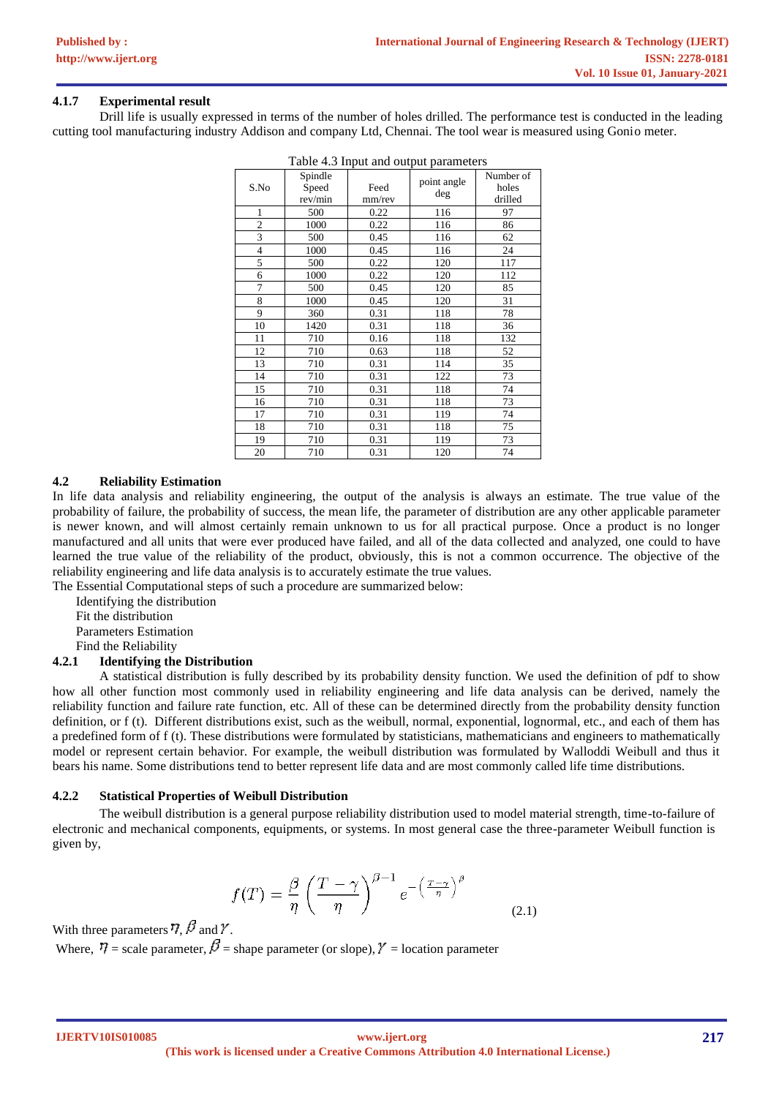# **4.1.7 Experimental result**

Drill life is usually expressed in terms of the number of holes drilled. The performance test is conducted in the leading cutting tool manufacturing industry Addison and company Ltd, Chennai. The tool wear is measured using Gonio meter.

|                |                             |                | n abie 1.5 mpar and ourpur parameters |                               |
|----------------|-----------------------------|----------------|---------------------------------------|-------------------------------|
| S.No           | Spindle<br>Speed<br>rev/min | Feed<br>mm/rev | point angle<br>deg                    | Number of<br>holes<br>drilled |
| 1              | 500                         | 0.22           | 116                                   | 97                            |
| $\overline{c}$ | 1000                        | 0.22           | 116                                   | 86                            |
| 3              | 500                         | 0.45           | 116                                   | 62                            |
| $\overline{4}$ | 1000                        | 0.45           | 116                                   | 24                            |
| 5              | 500                         | 0.22           | 120                                   | 117                           |
| 6              | 1000                        | 0.22           | 120                                   | 112                           |
| 7              | 500                         | 0.45           | 120                                   | 85                            |
| 8              | 1000                        | 0.45           | 120                                   | 31                            |
| 9              | 360                         | 0.31           | 118                                   | 78                            |
| 10             | 1420                        | 0.31           | 118                                   | 36                            |
| 11             | 710                         | 0.16           | 118                                   | 132                           |
| 12             | 710                         | 0.63           | 118                                   | 52                            |
| 13             | 710                         | 0.31           | 114                                   | 35                            |
| 14             | 710                         | 0.31           | 122                                   | 73                            |
| 15             | 710                         | 0.31           | 118                                   | 74                            |
| 16             | 710                         | 0.31           | 118                                   | 73                            |
| 17             | 710                         | 0.31           | 119                                   | 74                            |
| 18             | 710                         | 0.31           | 118                                   | 75                            |
| 19             | 710                         | 0.31           | 119                                   | 73                            |
| 20             | 710                         | 0.31           | 120                                   | 74                            |

Table 4.3 Input and output parameters

# **4.2 Reliability Estimation**

In life data analysis and reliability engineering, the output of the analysis is always an estimate. The true value of the probability of failure, the probability of success, the mean life, the parameter of distribution are any other applicable parameter is newer known, and will almost certainly remain unknown to us for all practical purpose. Once a product is no longer manufactured and all units that were ever produced have failed, and all of the data collected and analyzed, one could to have learned the true value of the reliability of the product, obviously, this is not a common occurrence. The objective of the reliability engineering and life data analysis is to accurately estimate the true values.

The Essential Computational steps of such a procedure are summarized below:

Identifying the distribution

Fit the distribution

Parameters Estimation

Find the Reliability

# **4.2.1 Identifying the Distribution**

A statistical distribution is fully described by its probability density function. We used the definition of pdf to show how all other function most commonly used in reliability engineering and life data analysis can be derived, namely the reliability function and failure rate function, etc. All of these can be determined directly from the probability density function definition, or f (t). Different distributions exist, such as the weibull, normal, exponential, lognormal, etc., and each of them has a predefined form of f (t). These distributions were formulated by statisticians, mathematicians and engineers to mathematically model or represent certain behavior. For example, the weibull distribution was formulated by Walloddi Weibull and thus it bears his name. Some distributions tend to better represent life data and are most commonly called life time distributions.

#### **4.2.2 Statistical Properties of Weibull Distribution**

The weibull distribution is a general purpose reliability distribution used to model material strength, time-to-failure of electronic and mechanical components, equipments, or systems. In most general case the three-parameter Weibull function is given by,

$$
f(T) = \frac{\beta}{\eta} \left(\frac{T-\gamma}{\eta}\right)^{\beta-1} e^{-\left(\frac{T-\gamma}{\eta}\right)^{\beta}}
$$
(2.1)

With three parameters  $\eta$ ,  $\beta$  and  $\gamma$ .

Where,  $\vec{v}$  = scale parameter,  $\beta$  = shape parameter (or slope),  $\gamma$  = location parameter

**IJERTV10IS010085**